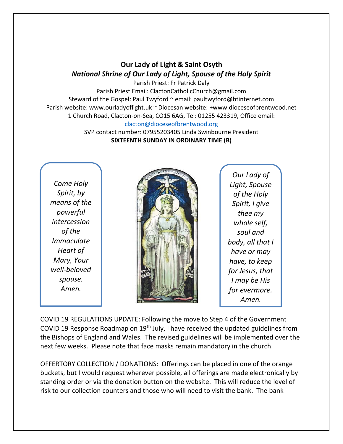## **Our Lady of Light & Saint Osyth** *National Shrine of Our Lady of Light, Spouse of the Holy Spirit*

Parish Priest: Fr Patrick Daly Parish Priest Email: ClactonCatholicChurch@gmail.com Steward of the Gospel: Paul Twyford ~ email: paultwyford@btinternet.com Parish website: www.ourladyoflight.uk ~ Diocesan website: +www.dioceseofbrentwood.net 1 Church Road, Clacton-on-Sea, CO15 6AG, Tel: 01255 423319, Office email: [clacton@dioceseofbrentwood.org](mailto:clacton@dioceseofbrentwood.org)

> SVP contact number: 07955203405 Linda Swinbourne President **SIXTEENTH SUNDAY IN ORDINARY TIME (B)**

*Come Holy Spirit, by means of the powerful intercession of the Immaculate Heart of Mary, Your well-beloved spouse. Amen.*



*Our Lady of Light, Spouse of the Holy Spirit, I give thee my whole self, soul and body, all that I have or may have, to keep for Jesus, that I may be His for evermore. Amen.*

COVID 19 REGULATIONS UPDATE: Following the move to Step 4 of the Government COVID 19 Response Roadmap on 19th July, I have received the updated guidelines from the Bishops of England and Wales. The revised guidelines will be implemented over the next few weeks. Please note that face masks remain mandatory in the church.

OFFERTORY COLLECTION / DONATIONS: Offerings can be placed in one of the orange buckets, but I would request wherever possible, all offerings are made electronically by standing order or via the donation button on the website. This will reduce the level of risk to our collection counters and those who will need to visit the bank. The bank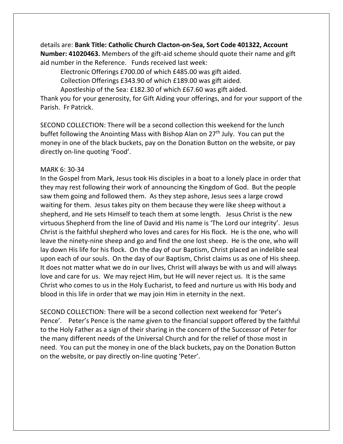details are: **Bank Title: Catholic Church Clacton-on-Sea, Sort Code 401322, Account Number: 41020463.** Members of the gift-aid scheme should quote their name and gift aid number in the Reference. Funds received last week:

Electronic Offerings £700.00 of which £485.00 was gift aided.

Collection Offerings £343.90 of which £189.00 was gift aided.

Apostleship of the Sea: £182.30 of which £67.60 was gift aided.

Thank you for your generosity, for Gift Aiding your offerings, and for your support of the Parish. Fr Patrick.

SECOND COLLECTION: There will be a second collection this weekend for the lunch buffet following the Anointing Mass with Bishop Alan on 27<sup>th</sup> July. You can put the money in one of the black buckets, pay on the Donation Button on the website, or pay directly on-line quoting 'Food'.

## MARK 6: 30-34

In the Gospel from Mark, Jesus took His disciples in a boat to a lonely place in order that they may rest following their work of announcing the Kingdom of God. But the people saw them going and followed them. As they step ashore, Jesus sees a large crowd waiting for them. Jesus takes pity on them because they were like sheep without a shepherd, and He sets Himself to teach them at some length. Jesus Christ is the new virtuous Shepherd from the line of David and His name is 'The Lord our integrity'. Jesus Christ is the faithful shepherd who loves and cares for His flock. He is the one, who will leave the ninety-nine sheep and go and find the one lost sheep. He is the one, who will lay down His life for his flock. On the day of our Baptism, Christ placed an indelible seal upon each of our souls. On the day of our Baptism, Christ claims us as one of His sheep. It does not matter what we do in our lives, Christ will always be with us and will always love and care for us. We may reject Him, but He will never reject us. It is the same Christ who comes to us in the Holy Eucharist, to feed and nurture us with His body and blood in this life in order that we may join Him in eternity in the next.

SECOND COLLECTION: There will be a second collection next weekend for 'Peter's Pence'. Peter's Pence is the name given to the financial support offered by the faithful to the Holy Father as a sign of their sharing in the concern of the Successor of Peter for the many different needs of the Universal Church and for the relief of those most in need. You can put the money in one of the black buckets, pay on the Donation Button on the website, or pay directly on-line quoting 'Peter'.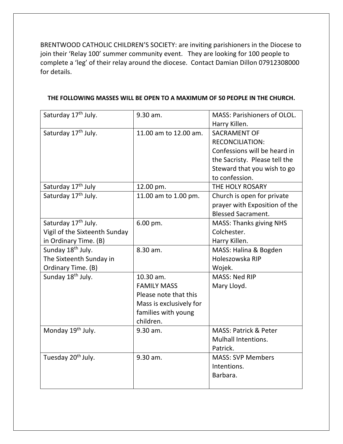BRENTWOOD CATHOLIC CHILDREN'S SOCIETY: are inviting parishioners in the Diocese to join their 'Relay 100' summer community event. They are looking for 100 people to complete a 'leg' of their relay around the diocese. Contact Damian Dillon 07912308000 for details.

| Saturday 17 <sup>th</sup> July. | 9.30 am.                | MASS: Parishioners of OLOL.      |
|---------------------------------|-------------------------|----------------------------------|
|                                 |                         | Harry Killen.                    |
| Saturday 17 <sup>th</sup> July. | 11.00 am to 12.00 am.   | <b>SACRAMENT OF</b>              |
|                                 |                         | <b>RECONCILIATION:</b>           |
|                                 |                         | Confessions will be heard in     |
|                                 |                         | the Sacristy. Please tell the    |
|                                 |                         | Steward that you wish to go      |
|                                 |                         | to confession.                   |
| Saturday 17 <sup>th</sup> July  | 12.00 pm.               | THE HOLY ROSARY                  |
| Saturday 17 <sup>th</sup> July. | 11.00 am to 1.00 pm.    | Church is open for private       |
|                                 |                         | prayer with Exposition of the    |
|                                 |                         | <b>Blessed Sacrament.</b>        |
| Saturday 17th July.             | 6.00 pm.                | <b>MASS: Thanks giving NHS</b>   |
| Vigil of the Sixteenth Sunday   |                         | Colchester.                      |
| in Ordinary Time. (B)           |                         | Harry Killen.                    |
| Sunday 18 <sup>th</sup> July.   | 8.30 am.                | MASS: Halina & Bogden            |
| The Sixteenth Sunday in         |                         | Holeszowska RIP                  |
| Ordinary Time. (B)              |                         | Wojek.                           |
| Sunday 18 <sup>th</sup> July.   | 10.30 am.               | <b>MASS: Ned RIP</b>             |
|                                 | <b>FAMILY MASS</b>      | Mary Lloyd.                      |
|                                 | Please note that this   |                                  |
|                                 | Mass is exclusively for |                                  |
|                                 | families with young     |                                  |
|                                 | children.               |                                  |
| Monday 19 <sup>th</sup> July.   | 9.30 am.                | <b>MASS: Patrick &amp; Peter</b> |
|                                 |                         | <b>Mulhall Intentions.</b>       |
|                                 |                         | Patrick.                         |
| Tuesday 20 <sup>th</sup> July.  | 9.30 am.                | <b>MASS: SVP Members</b>         |
|                                 |                         | Intentions.                      |
|                                 |                         | Barbara.                         |
|                                 |                         |                                  |

## **THE FOLLOWING MASSES WILL BE OPEN TO A MAXIMUM OF 50 PEOPLE IN THE CHURCH.**